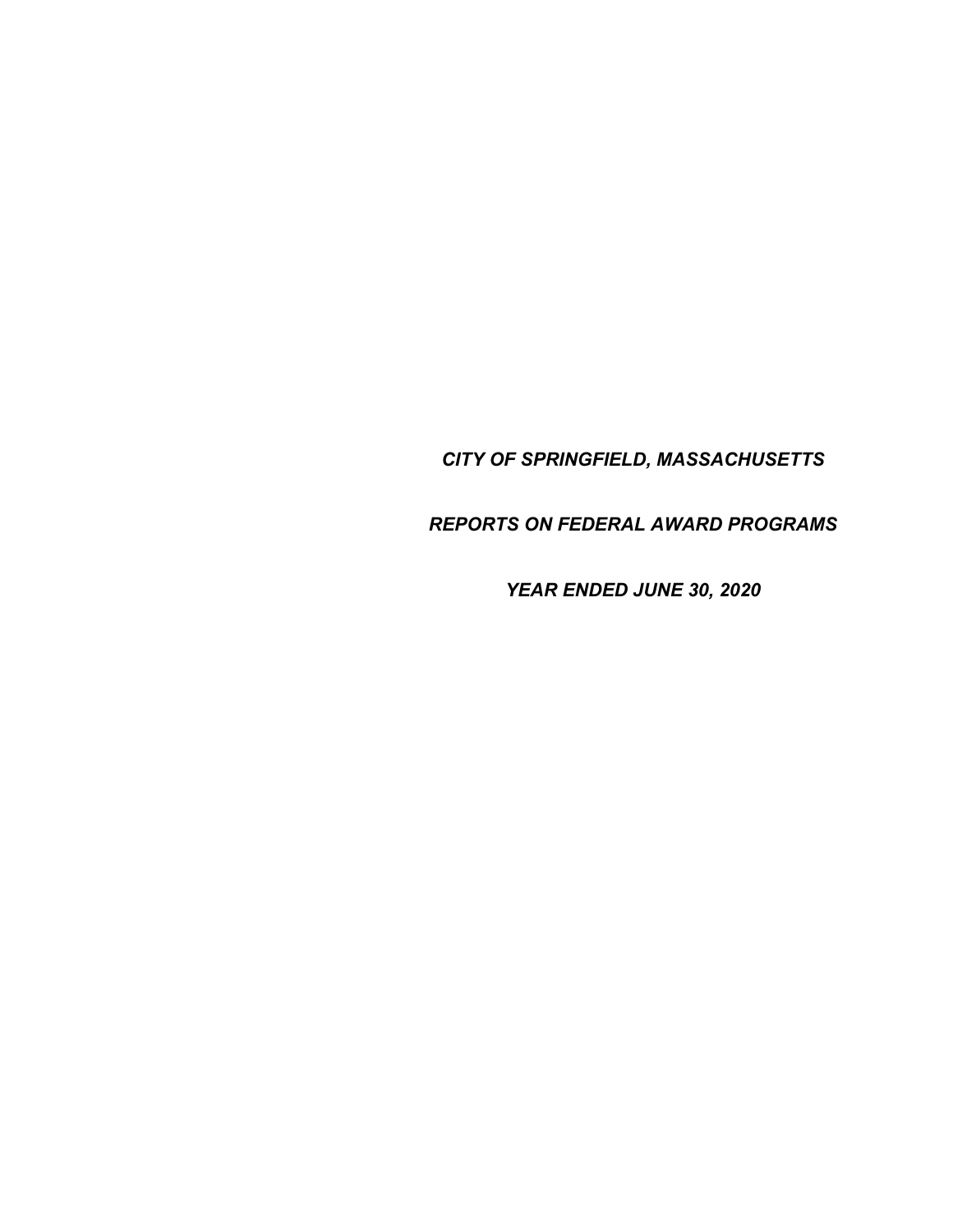*CITY OF SPRINGFIELD, MASSACHUSETTS* 

*REPORTS ON FEDERAL AWARD PROGRAMS* 

*YEAR ENDED JUNE 30, 2020*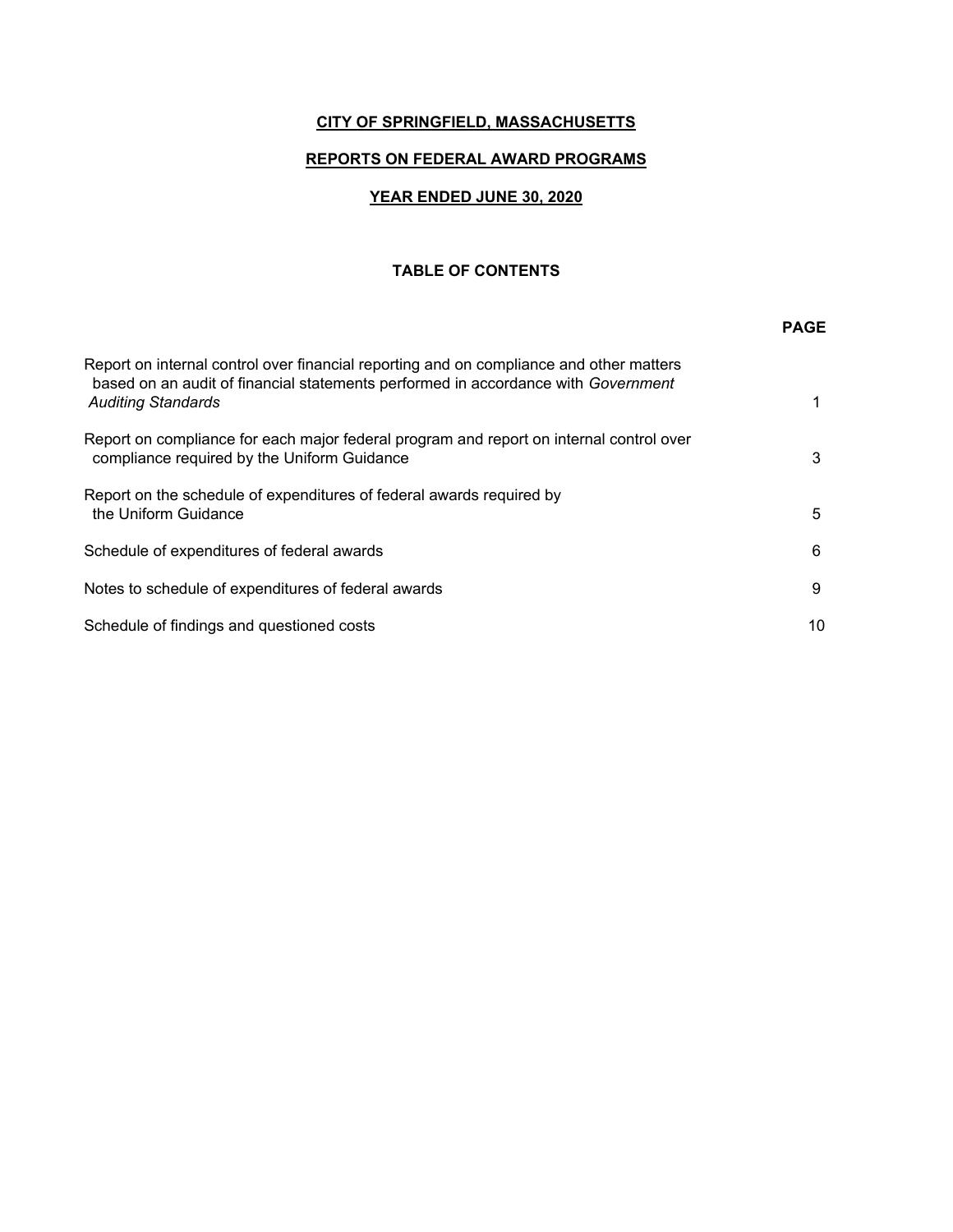## **CITY OF SPRINGFIELD, MASSACHUSETTS**

## **REPORTS ON FEDERAL AWARD PROGRAMS**

## **YEAR ENDED JUNE 30, 2020**

#### **TABLE OF CONTENTS**

|                                                                                                                                                                                                           | <b>PAGE</b> |
|-----------------------------------------------------------------------------------------------------------------------------------------------------------------------------------------------------------|-------------|
| Report on internal control over financial reporting and on compliance and other matters<br>based on an audit of financial statements performed in accordance with Government<br><b>Auditing Standards</b> | 1           |
| Report on compliance for each major federal program and report on internal control over<br>compliance required by the Uniform Guidance                                                                    | 3           |
| Report on the schedule of expenditures of federal awards required by<br>the Uniform Guidance                                                                                                              | 5           |
| Schedule of expenditures of federal awards                                                                                                                                                                | 6           |
| Notes to schedule of expenditures of federal awards                                                                                                                                                       | 9           |
| Schedule of findings and questioned costs                                                                                                                                                                 | 10          |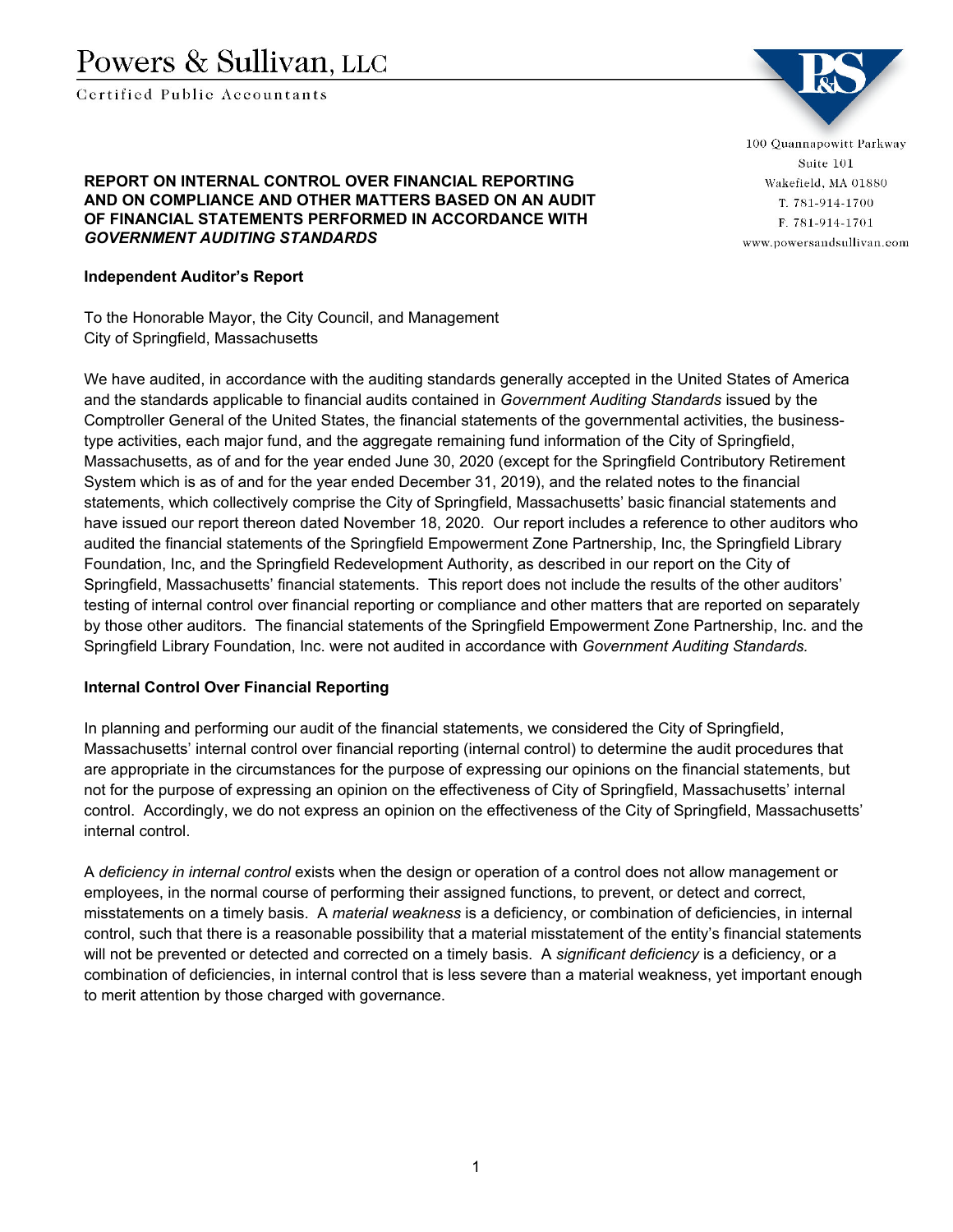# Powers & Sullivan, LLC

Certified Public Accountants



100 Quannapowitt Parkway Suite 101 Wakefield, MA 01880 T. 781-914-1700 F. 781-914-1701 www.powersandsullivan.com

#### **REPORT ON INTERNAL CONTROL OVER FINANCIAL REPORTING AND ON COMPLIANCE AND OTHER MATTERS BASED ON AN AUDIT OF FINANCIAL STATEMENTS PERFORMED IN ACCORDANCE WITH**  *GOVERNMENT AUDITING STANDARDS*

#### **Independent Auditor's Report**

To the Honorable Mayor, the City Council, and Management City of Springfield, Massachusetts

We have audited, in accordance with the auditing standards generally accepted in the United States of America and the standards applicable to financial audits contained in *Government Auditing Standards* issued by the Comptroller General of the United States, the financial statements of the governmental activities, the businesstype activities, each major fund, and the aggregate remaining fund information of the City of Springfield, Massachusetts, as of and for the year ended June 30, 2020 (except for the Springfield Contributory Retirement System which is as of and for the year ended December 31, 2019), and the related notes to the financial statements, which collectively comprise the City of Springfield, Massachusetts' basic financial statements and have issued our report thereon dated November 18, 2020. Our report includes a reference to other auditors who audited the financial statements of the Springfield Empowerment Zone Partnership, Inc, the Springfield Library Foundation, Inc, and the Springfield Redevelopment Authority, as described in our report on the City of Springfield, Massachusetts' financial statements. This report does not include the results of the other auditors' testing of internal control over financial reporting or compliance and other matters that are reported on separately by those other auditors. The financial statements of the Springfield Empowerment Zone Partnership, Inc. and the Springfield Library Foundation, Inc. were not audited in accordance with *Government Auditing Standards.*

## **Internal Control Over Financial Reporting**

In planning and performing our audit of the financial statements, we considered the City of Springfield, Massachusetts' internal control over financial reporting (internal control) to determine the audit procedures that are appropriate in the circumstances for the purpose of expressing our opinions on the financial statements, but not for the purpose of expressing an opinion on the effectiveness of City of Springfield, Massachusetts' internal control. Accordingly, we do not express an opinion on the effectiveness of the City of Springfield, Massachusetts' internal control.

A *deficiency in internal control* exists when the design or operation of a control does not allow management or employees, in the normal course of performing their assigned functions, to prevent, or detect and correct, misstatements on a timely basis. A *material weakness* is a deficiency, or combination of deficiencies, in internal control, such that there is a reasonable possibility that a material misstatement of the entity's financial statements will not be prevented or detected and corrected on a timely basis. A *significant deficiency* is a deficiency, or a combination of deficiencies, in internal control that is less severe than a material weakness, yet important enough to merit attention by those charged with governance.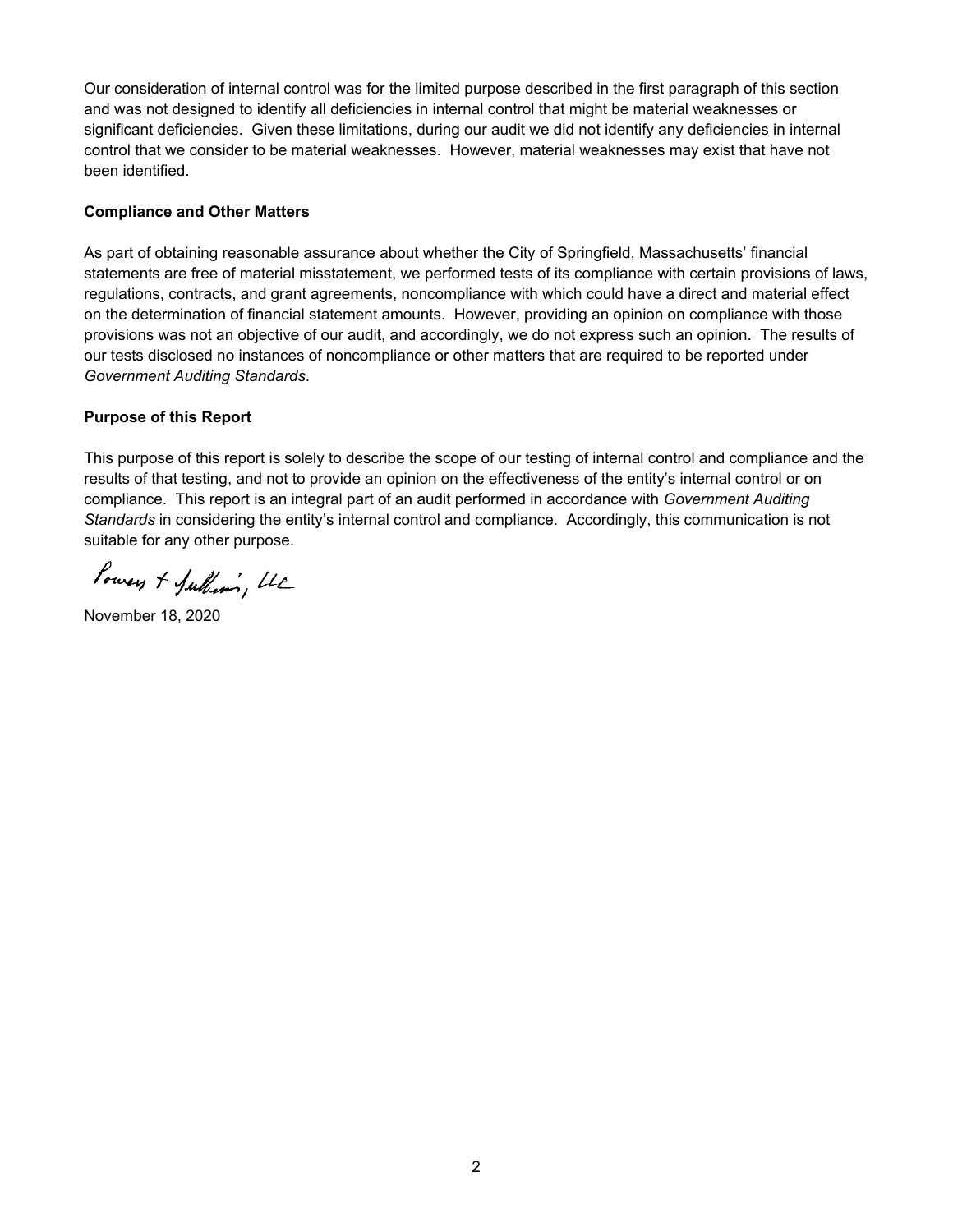Our consideration of internal control was for the limited purpose described in the first paragraph of this section and was not designed to identify all deficiencies in internal control that might be material weaknesses or significant deficiencies. Given these limitations, during our audit we did not identify any deficiencies in internal control that we consider to be material weaknesses. However, material weaknesses may exist that have not been identified.

#### **Compliance and Other Matters**

As part of obtaining reasonable assurance about whether the City of Springfield, Massachusetts' financial statements are free of material misstatement, we performed tests of its compliance with certain provisions of laws, regulations, contracts, and grant agreements, noncompliance with which could have a direct and material effect on the determination of financial statement amounts. However, providing an opinion on compliance with those provisions was not an objective of our audit, and accordingly, we do not express such an opinion. The results of our tests disclosed no instances of noncompliance or other matters that are required to be reported under *Government Auditing Standards*.

### **Purpose of this Report**

This purpose of this report is solely to describe the scope of our testing of internal control and compliance and the results of that testing, and not to provide an opinion on the effectiveness of the entity's internal control or on compliance. This report is an integral part of an audit performed in accordance with *Government Auditing Standards* in considering the entity's internal control and compliance. Accordingly, this communication is not suitable for any other purpose.

Powers + Julhami, LLC

November 18, 2020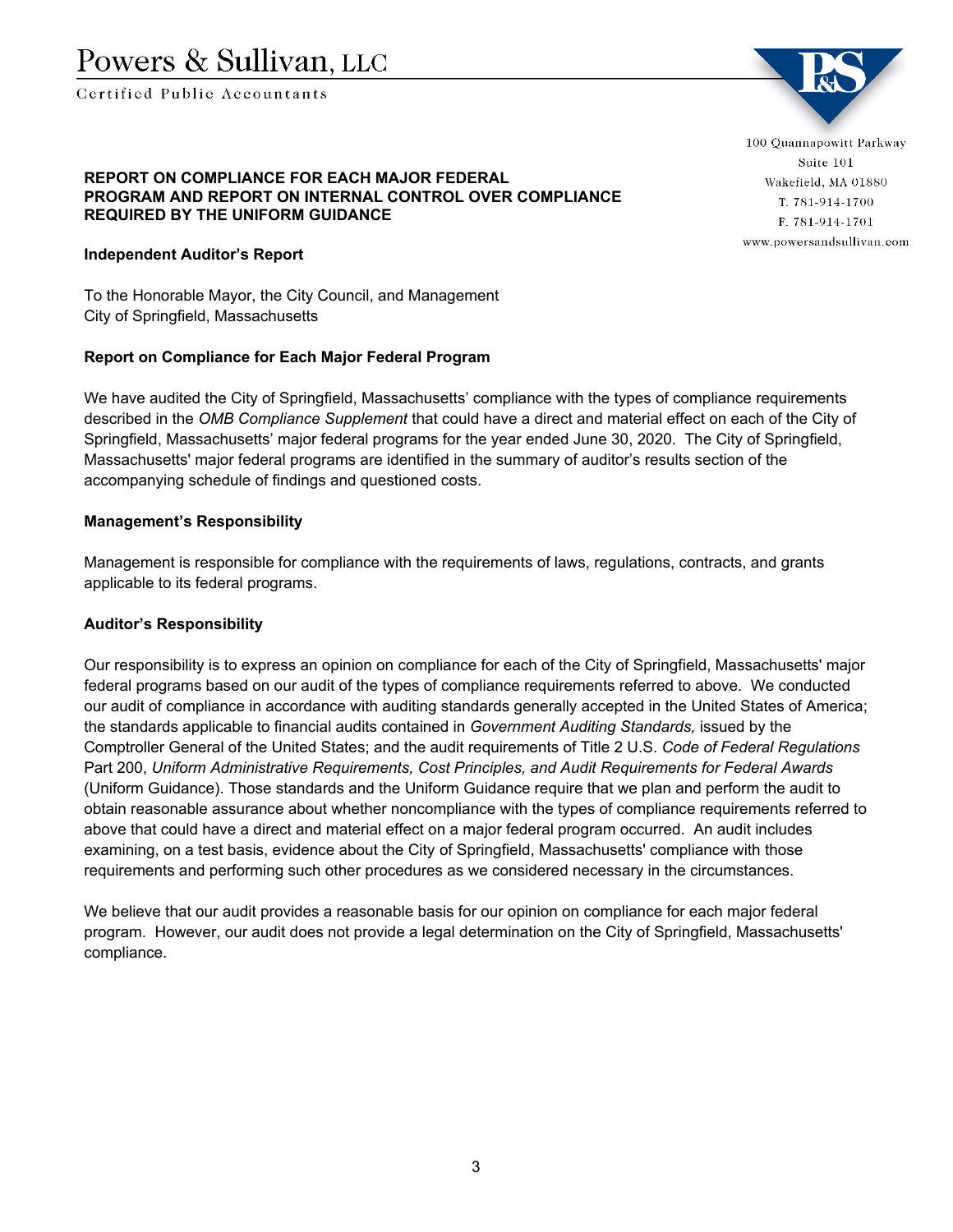Certified Public Accountants

#### **REPORT ON COMPLIANCE FOR EACH MAJOR FEDERAL PROGRAM AND REPORT ON INTERNAL CONTROL OVER COMPLIANCE REQUIRED BY THE UNIFORM GUIDANCE**

### **Independent Auditor's Report**

To the Honorable Mayor, the City Council, and Management City of Springfield, Massachusetts

#### **Report on Compliance for Each Major Federal Program**

We have audited the City of Springfield, Massachusetts' compliance with the types of compliance requirements described in the *OMB Compliance Supplement* that could have a direct and material effect on each of the City of Springfield, Massachusetts' major federal programs for the year ended June 30, 2020. The City of Springfield, Massachusetts' major federal programs are identified in the summary of auditor's results section of the accompanying schedule of findings and questioned costs.

#### **Management's Responsibility**

Management is responsible for compliance with the requirements of laws, regulations, contracts, and grants applicable to its federal programs.

#### **Auditor's Responsibility**

Our responsibility is to express an opinion on compliance for each of the City of Springfield, Massachusetts' major federal programs based on our audit of the types of compliance requirements referred to above. We conducted our audit of compliance in accordance with auditing standards generally accepted in the United States of America; the standards applicable to financial audits contained in *Government Auditing Standards,* issued by the Comptroller General of the United States; and the audit requirements of Title 2 U.S. *Code of Federal Regulations* Part 200, *Uniform Administrative Requirements, Cost Principles, and Audit Requirements for Federal Awards*  (Uniform Guidance). Those standards and the Uniform Guidance require that we plan and perform the audit to obtain reasonable assurance about whether noncompliance with the types of compliance requirements referred to above that could have a direct and material effect on a major federal program occurred. An audit includes examining, on a test basis, evidence about the City of Springfield, Massachusetts' compliance with those requirements and performing such other procedures as we considered necessary in the circumstances.

We believe that our audit provides a reasonable basis for our opinion on compliance for each major federal program. However, our audit does not provide a legal determination on the City of Springfield, Massachusetts' compliance.



100 Quannapowitt Parkway Suite 101 Wakefield, MA 01880 T. 781-914-1700 F. 781-914-1701 www.powersandsullivan.com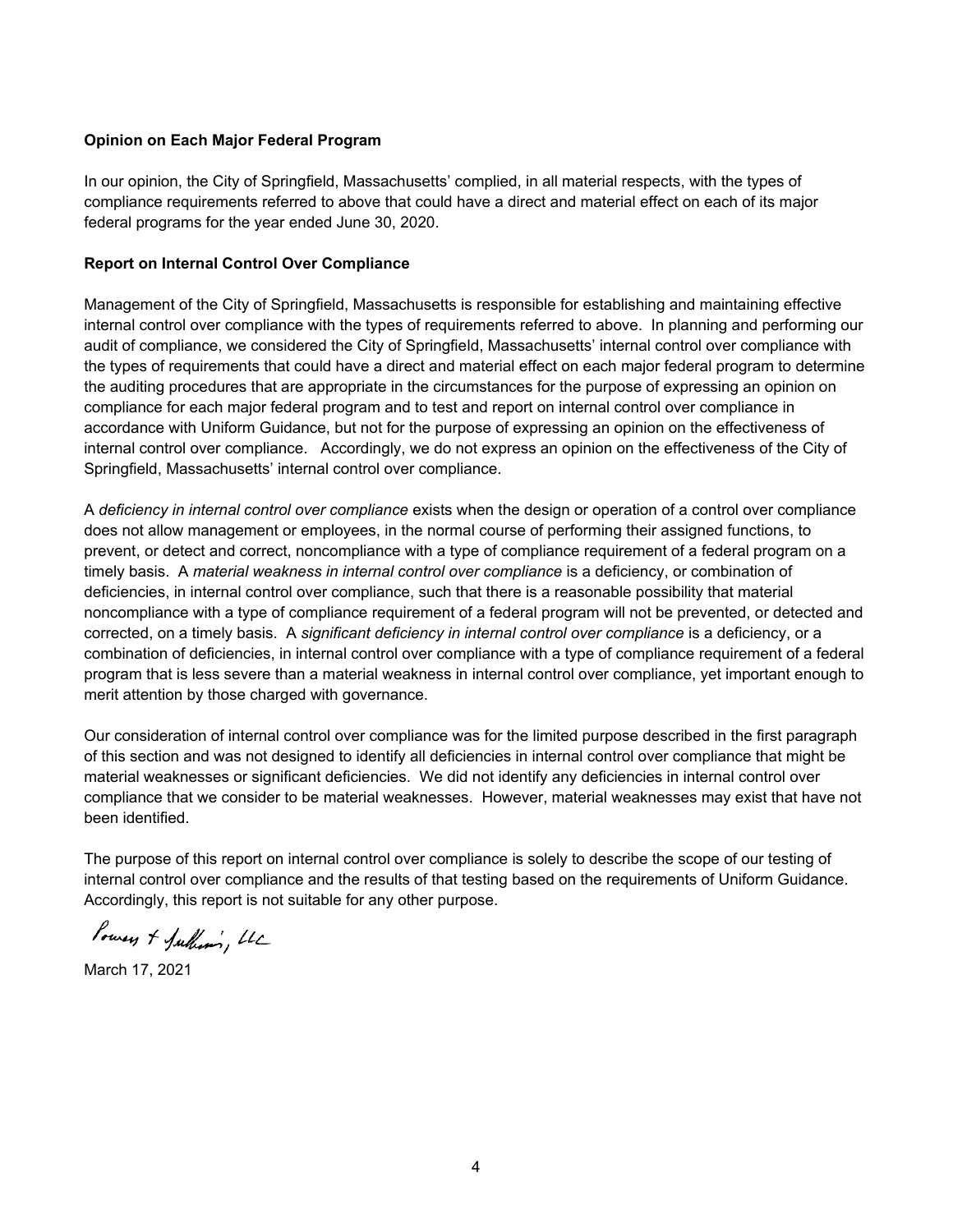#### **Opinion on Each Major Federal Program**

In our opinion, the City of Springfield, Massachusetts' complied, in all material respects, with the types of compliance requirements referred to above that could have a direct and material effect on each of its major federal programs for the year ended June 30, 2020.

#### **Report on Internal Control Over Compliance**

Management of the City of Springfield, Massachusetts is responsible for establishing and maintaining effective internal control over compliance with the types of requirements referred to above. In planning and performing our audit of compliance, we considered the City of Springfield, Massachusetts' internal control over compliance with the types of requirements that could have a direct and material effect on each major federal program to determine the auditing procedures that are appropriate in the circumstances for the purpose of expressing an opinion on compliance for each major federal program and to test and report on internal control over compliance in accordance with Uniform Guidance, but not for the purpose of expressing an opinion on the effectiveness of internal control over compliance. Accordingly, we do not express an opinion on the effectiveness of the City of Springfield, Massachusetts' internal control over compliance.

A *deficiency in internal control over compliance* exists when the design or operation of a control over compliance does not allow management or employees, in the normal course of performing their assigned functions, to prevent, or detect and correct, noncompliance with a type of compliance requirement of a federal program on a timely basis. A *material weakness in internal control over compliance* is a deficiency, or combination of deficiencies, in internal control over compliance, such that there is a reasonable possibility that material noncompliance with a type of compliance requirement of a federal program will not be prevented, or detected and corrected, on a timely basis. A *significant deficiency in internal control over compliance* is a deficiency, or a combination of deficiencies, in internal control over compliance with a type of compliance requirement of a federal program that is less severe than a material weakness in internal control over compliance, yet important enough to merit attention by those charged with governance.

Our consideration of internal control over compliance was for the limited purpose described in the first paragraph of this section and was not designed to identify all deficiencies in internal control over compliance that might be material weaknesses or significant deficiencies. We did not identify any deficiencies in internal control over compliance that we consider to be material weaknesses. However, material weaknesses may exist that have not been identified.

The purpose of this report on internal control over compliance is solely to describe the scope of our testing of internal control over compliance and the results of that testing based on the requirements of Uniform Guidance. Accordingly, this report is not suitable for any other purpose.

Powers + Julhim, LL

March 17, 2021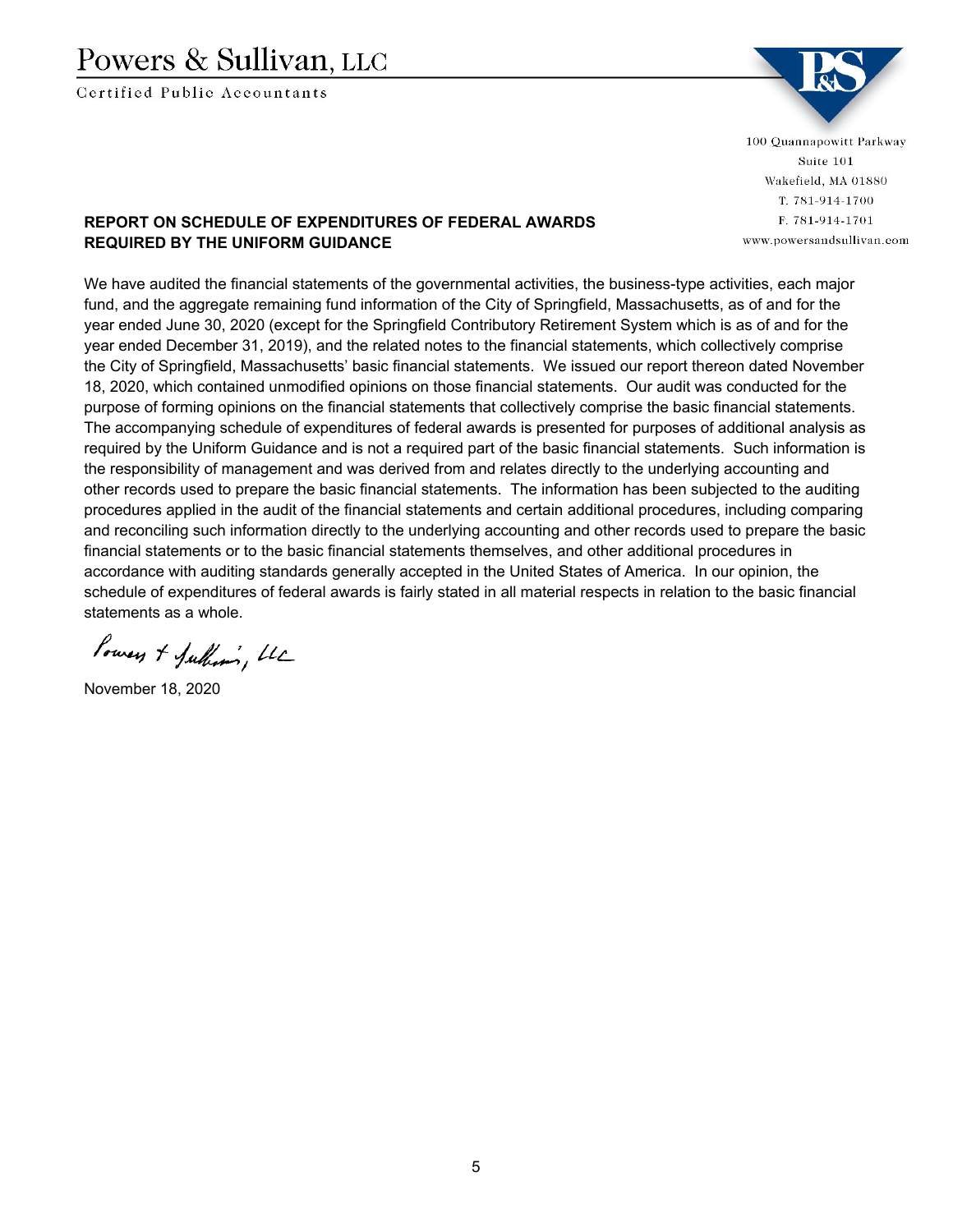## Powers & Sullivan, LLC

Certified Public Accountants



100 Quannapowitt Parkway Suite 101 Wakefield, MA 01880 T. 781-914-1700 F. 781-914-1701 www.powersandsullivan.com

## **REPORT ON SCHEDULE OF EXPENDITURES OF FEDERAL AWARDS REQUIRED BY THE UNIFORM GUIDANCE**

We have audited the financial statements of the governmental activities, the business-type activities, each major fund, and the aggregate remaining fund information of the City of Springfield, Massachusetts, as of and for the year ended June 30, 2020 (except for the Springfield Contributory Retirement System which is as of and for the year ended December 31, 2019), and the related notes to the financial statements, which collectively comprise the City of Springfield, Massachusetts' basic financial statements. We issued our report thereon dated November 18, 2020, which contained unmodified opinions on those financial statements. Our audit was conducted for the purpose of forming opinions on the financial statements that collectively comprise the basic financial statements. The accompanying schedule of expenditures of federal awards is presented for purposes of additional analysis as required by the Uniform Guidance and is not a required part of the basic financial statements. Such information is the responsibility of management and was derived from and relates directly to the underlying accounting and other records used to prepare the basic financial statements. The information has been subjected to the auditing procedures applied in the audit of the financial statements and certain additional procedures, including comparing and reconciling such information directly to the underlying accounting and other records used to prepare the basic financial statements or to the basic financial statements themselves, and other additional procedures in accordance with auditing standards generally accepted in the United States of America. In our opinion, the schedule of expenditures of federal awards is fairly stated in all material respects in relation to the basic financial statements as a whole.

Powers + Julhim, LL

November 18, 2020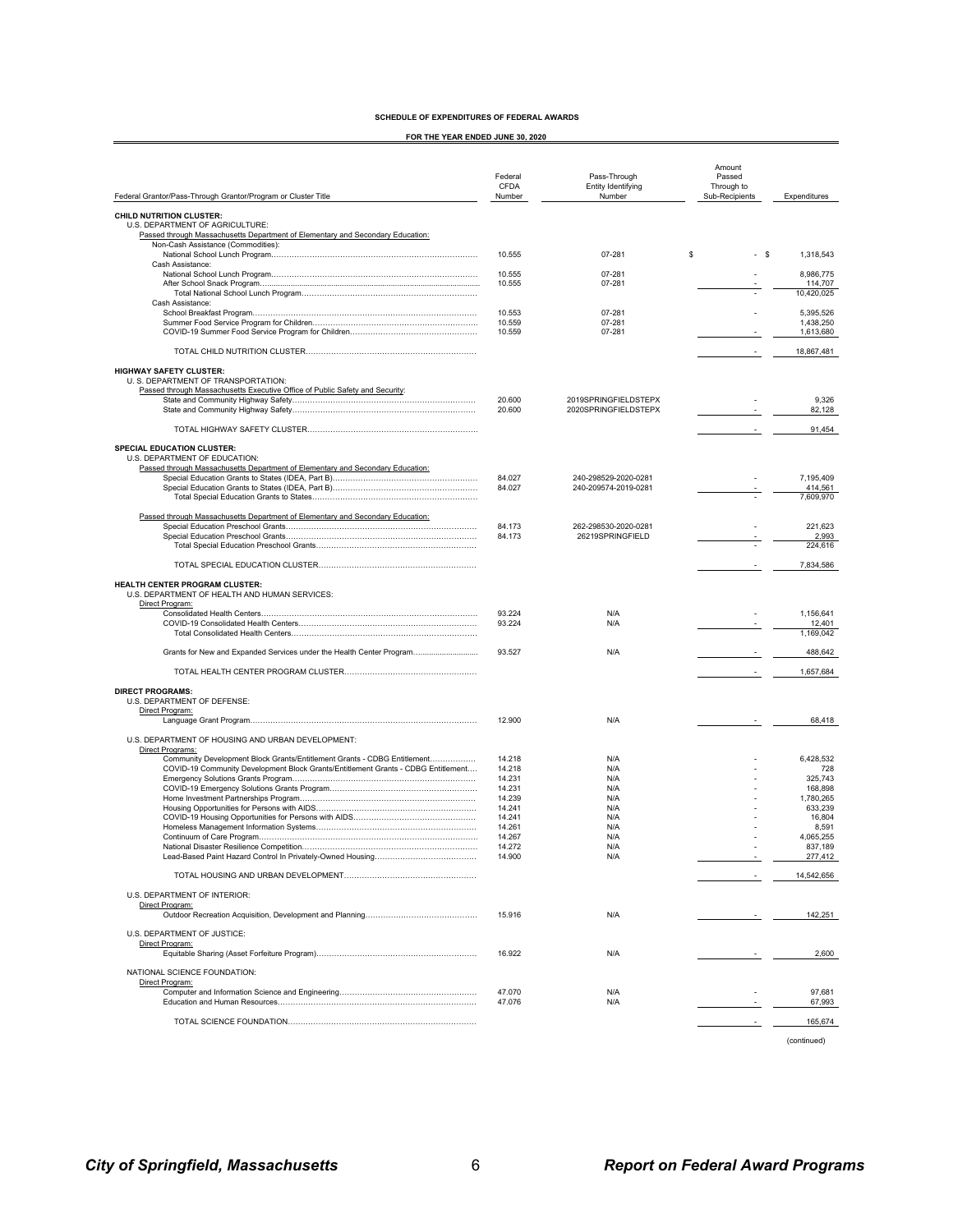**FOR THE YEAR ENDED JUNE 30, 2020**

|                                                                                                                                                       |                                  |                                              | Amount                                 |                        |
|-------------------------------------------------------------------------------------------------------------------------------------------------------|----------------------------------|----------------------------------------------|----------------------------------------|------------------------|
| Federal Grantor/Pass-Through Grantor/Program or Cluster Title                                                                                         | Federal<br><b>CFDA</b><br>Number | Pass-Through<br>Entity Identifying<br>Number | Passed<br>Through to<br>Sub-Recipients | Expenditures           |
|                                                                                                                                                       |                                  |                                              |                                        |                        |
| CHILD NUTRITION CLUSTER:<br>U.S. DEPARTMENT OF AGRICULTURE:                                                                                           |                                  |                                              |                                        |                        |
| Passed through Massachusetts Department of Elementary and Secondary Education:                                                                        |                                  |                                              |                                        |                        |
| Non-Cash Assistance (Commodities):                                                                                                                    |                                  | 07-281                                       | \$<br>- \$                             |                        |
| Cash Assistance:                                                                                                                                      | 10.555                           |                                              |                                        | 1,318,543              |
|                                                                                                                                                       | 10.555                           | 07-281                                       |                                        | 8,986,775              |
|                                                                                                                                                       | 10.555                           | 07-281                                       |                                        | 114,707<br>10,420,025  |
| Cash Assistance:                                                                                                                                      |                                  |                                              |                                        |                        |
|                                                                                                                                                       | 10.553                           | 07-281                                       |                                        | 5,395,526              |
|                                                                                                                                                       | 10.559<br>10.559                 | 07-281<br>07-281                             |                                        | 1.438.250<br>1,613,680 |
|                                                                                                                                                       |                                  |                                              |                                        |                        |
|                                                                                                                                                       |                                  |                                              |                                        | 18,867,481             |
| <b>HIGHWAY SAFETY CLUSTER:</b><br>U. S. DEPARTMENT OF TRANSPORTATION:<br>Passed through Massachusetts Executive Office of Public Safety and Security: |                                  |                                              |                                        |                        |
|                                                                                                                                                       | 20.600<br>20,600                 | 2019SPRINGFIELDSTEPX<br>2020SPRINGFIELDSTEPX |                                        | 9,326                  |
|                                                                                                                                                       |                                  |                                              |                                        | 82,128                 |
|                                                                                                                                                       |                                  |                                              |                                        | 91,454                 |
| SPECIAL EDUCATION CLUSTER:<br>U.S. DEPARTMENT OF EDUCATION:                                                                                           |                                  |                                              |                                        |                        |
| Passed through Massachusetts Department of Elementary and Secondary Education:                                                                        |                                  |                                              |                                        |                        |
|                                                                                                                                                       | 84.027                           | 240-298529-2020-0281                         |                                        | 7,195,409              |
|                                                                                                                                                       | 84.027                           | 240-209574-2019-0281                         |                                        | 414,561                |
|                                                                                                                                                       |                                  |                                              |                                        | 7,609,970              |
| Passed through Massachusetts Department of Elementary and Secondary Education:                                                                        |                                  |                                              |                                        |                        |
|                                                                                                                                                       | 84.173<br>84.173                 | 262-298530-2020-0281<br>26219SPRINGFIELD     |                                        | 221,623                |
|                                                                                                                                                       |                                  |                                              |                                        | 2,993<br>224,616       |
|                                                                                                                                                       |                                  |                                              |                                        | 7,834,586              |
|                                                                                                                                                       |                                  |                                              |                                        |                        |
| <b>HEALTH CENTER PROGRAM CLUSTER:</b><br>U.S. DEPARTMENT OF HEALTH AND HUMAN SERVICES:<br>Direct Program:                                             |                                  |                                              |                                        |                        |
|                                                                                                                                                       | 93.224                           | N/A                                          |                                        | 1,156,641              |
|                                                                                                                                                       | 93.224                           | N/A                                          |                                        | 12,401<br>1,169,042    |
| Grants for New and Expanded Services under the Health Center Program                                                                                  | 93.527                           | N/A                                          |                                        | 488,642                |
|                                                                                                                                                       |                                  |                                              |                                        | 1,657,684              |
|                                                                                                                                                       |                                  |                                              |                                        |                        |
| <b>DIRECT PROGRAMS:</b><br>U.S. DEPARTMENT OF DEFENSE:<br>Direct Program:                                                                             |                                  |                                              |                                        |                        |
|                                                                                                                                                       | 12.900                           | N/A                                          |                                        | 68,418                 |
| U.S. DEPARTMENT OF HOUSING AND URBAN DEVELOPMENT:                                                                                                     |                                  |                                              |                                        |                        |
| Direct Programs:                                                                                                                                      |                                  |                                              |                                        |                        |
| Community Development Block Grants/Entitlement Grants - CDBG Entitlement                                                                              | 14.218                           | N/A                                          |                                        | 6,428,532              |
| COVID-19 Community Development Block Grants/Entitlement Grants - CDBG Entitlement                                                                     | 14.218<br>14.231                 | N/A<br>N/A                                   |                                        | 728<br>325,743         |
|                                                                                                                                                       | 14.231                           | N/A                                          |                                        | 168,898                |
|                                                                                                                                                       | 14.239                           | N/A                                          |                                        | 1,780,265              |
|                                                                                                                                                       | 14.241                           | N/A                                          |                                        | 633,239                |
|                                                                                                                                                       | 14.241<br>14.261                 | N/A<br>N/A                                   |                                        | 16,804<br>8,591        |
|                                                                                                                                                       | 14.267                           | N/A                                          |                                        | 4,065,255              |
|                                                                                                                                                       | 14 272                           | N/A                                          |                                        | 837 189                |
|                                                                                                                                                       | 14.900                           | N/A                                          |                                        | 277,412                |
|                                                                                                                                                       |                                  |                                              |                                        | 14,542,656             |
| U.S. DEPARTMENT OF INTERIOR:                                                                                                                          |                                  |                                              |                                        |                        |
| Direct Program:                                                                                                                                       | 15.916                           | N/A                                          |                                        | 142,251                |
|                                                                                                                                                       |                                  |                                              |                                        |                        |
| U.S. DEPARTMENT OF JUSTICE:                                                                                                                           |                                  |                                              |                                        |                        |
| Direct Program:                                                                                                                                       | 16.922                           | N/A                                          |                                        | 2,600                  |
|                                                                                                                                                       |                                  |                                              |                                        |                        |
| NATIONAL SCIENCE FOUNDATION:                                                                                                                          |                                  |                                              |                                        |                        |
| Direct Program:                                                                                                                                       |                                  |                                              |                                        |                        |
|                                                                                                                                                       | 47.070<br>47.076                 | N/A<br>N/A                                   |                                        | 97,681<br>67,993       |
|                                                                                                                                                       |                                  |                                              |                                        |                        |
|                                                                                                                                                       |                                  |                                              |                                        | 165,674                |
|                                                                                                                                                       |                                  |                                              |                                        | (continued)            |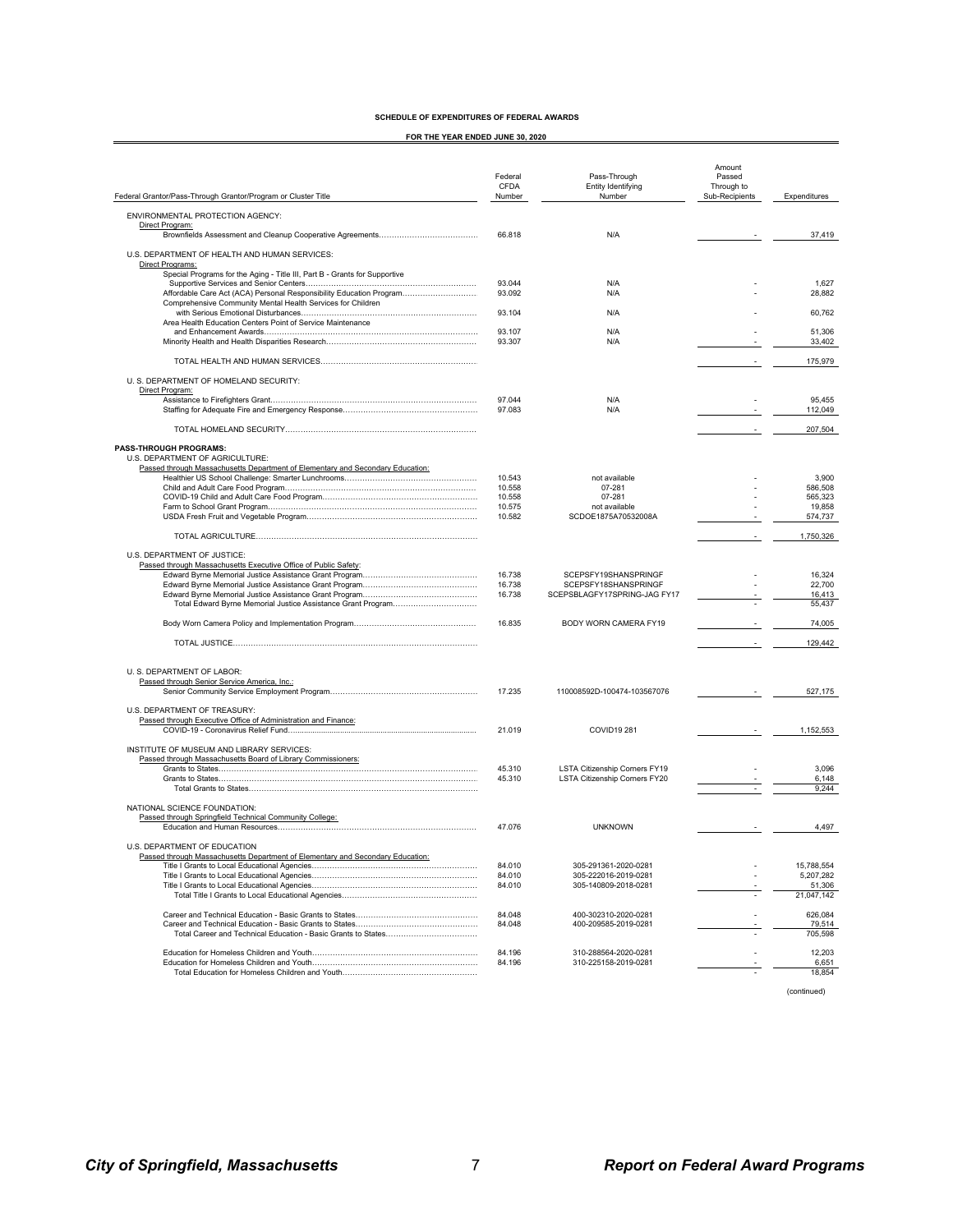| SCHEDULE OF EXPENDITURES OF FEDERAL AWARDS |  |
|--------------------------------------------|--|
|--------------------------------------------|--|

**FOR THE YEAR ENDED JUNE 30, 2020**

| Federal Grantor/Pass-Through Grantor/Program or Cluster Title                                                                      | Federal<br><b>CFDA</b><br>Number | Pass-Through<br>Entity Identifying<br>Number                   | Amount<br>Passed<br>Through to<br>Sub-Recipients | Expenditures         |
|------------------------------------------------------------------------------------------------------------------------------------|----------------------------------|----------------------------------------------------------------|--------------------------------------------------|----------------------|
| ENVIRONMENTAL PROTECTION AGENCY:                                                                                                   |                                  |                                                                |                                                  |                      |
| Direct Program:                                                                                                                    |                                  |                                                                |                                                  |                      |
|                                                                                                                                    | 66.818                           | N/A                                                            |                                                  | 37,419               |
| U.S. DEPARTMENT OF HEALTH AND HUMAN SERVICES:<br>Direct Programs:                                                                  |                                  |                                                                |                                                  |                      |
| Special Programs for the Aging - Title III, Part B - Grants for Supportive                                                         | 93.044                           | N/A                                                            |                                                  | 1,627                |
| Affordable Care Act (ACA) Personal Responsibility Education Program<br>Comprehensive Community Mental Health Services for Children | 93.092                           | N/A                                                            |                                                  | 28,882               |
| Area Health Education Centers Point of Service Maintenance                                                                         | 93.104                           | N/A                                                            |                                                  | 60,762               |
|                                                                                                                                    | 93.107                           | N/A                                                            |                                                  | 51,306               |
|                                                                                                                                    | 93.307                           | N/A                                                            |                                                  | 33,402               |
|                                                                                                                                    |                                  |                                                                |                                                  | 175,979              |
| U. S. DEPARTMENT OF HOMELAND SECURITY:<br>Direct Program:                                                                          |                                  |                                                                |                                                  |                      |
|                                                                                                                                    | 97.044                           | N/A                                                            |                                                  | 95,455               |
|                                                                                                                                    | 97.083                           | N/A                                                            |                                                  | 112,049              |
|                                                                                                                                    |                                  |                                                                |                                                  | 207,504              |
| <b>PASS-THROUGH PROGRAMS:</b><br>U.S. DEPARTMENT OF AGRICULTURE:                                                                   |                                  |                                                                |                                                  |                      |
| Passed through Massachusetts Department of Elementary and Secondary Education:                                                     |                                  | not available                                                  |                                                  | 3,900                |
|                                                                                                                                    | 10.543<br>10.558                 | 07-281                                                         |                                                  | 586,508              |
|                                                                                                                                    | 10.558                           | 07-281                                                         |                                                  | 565,323              |
|                                                                                                                                    | 10.575<br>10.582                 | not available<br>SCDOE1875A70532008A                           |                                                  | 19,858<br>574,737    |
|                                                                                                                                    |                                  |                                                                |                                                  | 1,750,326            |
|                                                                                                                                    |                                  |                                                                |                                                  |                      |
| U.S. DEPARTMENT OF JUSTICE:<br>Passed through Massachusetts Executive Office of Public Safety:                                     |                                  |                                                                |                                                  |                      |
|                                                                                                                                    | 16.738                           | SCEPSFY19SHANSPRINGF                                           |                                                  | 16,324               |
|                                                                                                                                    | 16.738                           | SCEPSFY18SHANSPRINGF                                           |                                                  | 22,700               |
|                                                                                                                                    | 16.738                           | SCEPSBLAGFY17SPRING-JAG FY17                                   |                                                  | 16,413               |
| Total Edward Byrne Memorial Justice Assistance Grant Program                                                                       |                                  |                                                                |                                                  | 55,437               |
|                                                                                                                                    | 16.835                           | BODY WORN CAMERA FY19                                          |                                                  | 74,005               |
|                                                                                                                                    |                                  |                                                                |                                                  | 129,442              |
| U. S. DEPARTMENT OF LABOR:                                                                                                         |                                  |                                                                |                                                  |                      |
| Passed through Senior Service America, Inc.:                                                                                       |                                  |                                                                |                                                  |                      |
|                                                                                                                                    | 17.235                           | 110008592D-100474-103567076                                    |                                                  | 527,175              |
| U.S. DEPARTMENT OF TREASURY:<br>Passed through Executive Office of Administration and Finance:                                     |                                  |                                                                |                                                  |                      |
|                                                                                                                                    | 21.019                           | <b>COVID19 281</b>                                             |                                                  | 1,152,553            |
| INSTITUTE OF MUSEUM AND LIBRARY SERVICES:                                                                                          |                                  |                                                                |                                                  |                      |
| Passed through Massachusetts Board of Library Commissioners:                                                                       |                                  |                                                                |                                                  |                      |
|                                                                                                                                    | 45.310<br>45.310                 | LSTA Citizenship Corners FY19<br>LSTA Citizenship Corners FY20 |                                                  | 3,096<br>6,148       |
|                                                                                                                                    |                                  |                                                                |                                                  | 9,244                |
| NATIONAL SCIENCE FOUNDATION:                                                                                                       |                                  |                                                                |                                                  |                      |
| Passed through Springfield Technical Community College:                                                                            | 47.076                           | <b>UNKNOWN</b>                                                 |                                                  | 4,497                |
|                                                                                                                                    |                                  |                                                                |                                                  |                      |
| U.S. DEPARTMENT OF EDUCATION<br>Passed through Massachusetts Department of Elementary and Secondary Education:                     |                                  |                                                                |                                                  |                      |
|                                                                                                                                    | 84.010                           | 305-291361-2020-0281                                           |                                                  | 15,788,554           |
|                                                                                                                                    | 84.010                           | 305-222016-2019-0281                                           |                                                  | 5,207,282            |
|                                                                                                                                    | 84.010                           | 305-140809-2018-0281                                           |                                                  | 51,306<br>21,047,142 |
|                                                                                                                                    |                                  |                                                                |                                                  |                      |
|                                                                                                                                    | 84.048<br>84.048                 | 400-302310-2020-0281<br>400-209585-2019-0281                   |                                                  | 626.084<br>79,514    |
|                                                                                                                                    |                                  |                                                                |                                                  | 705,598              |
|                                                                                                                                    | 84.196                           | 310-288564-2020-0281                                           |                                                  | 12,203               |
|                                                                                                                                    | 84.196                           | 310-225158-2019-0281                                           |                                                  | 6,651                |
|                                                                                                                                    |                                  |                                                                |                                                  | 18,854               |

(continued)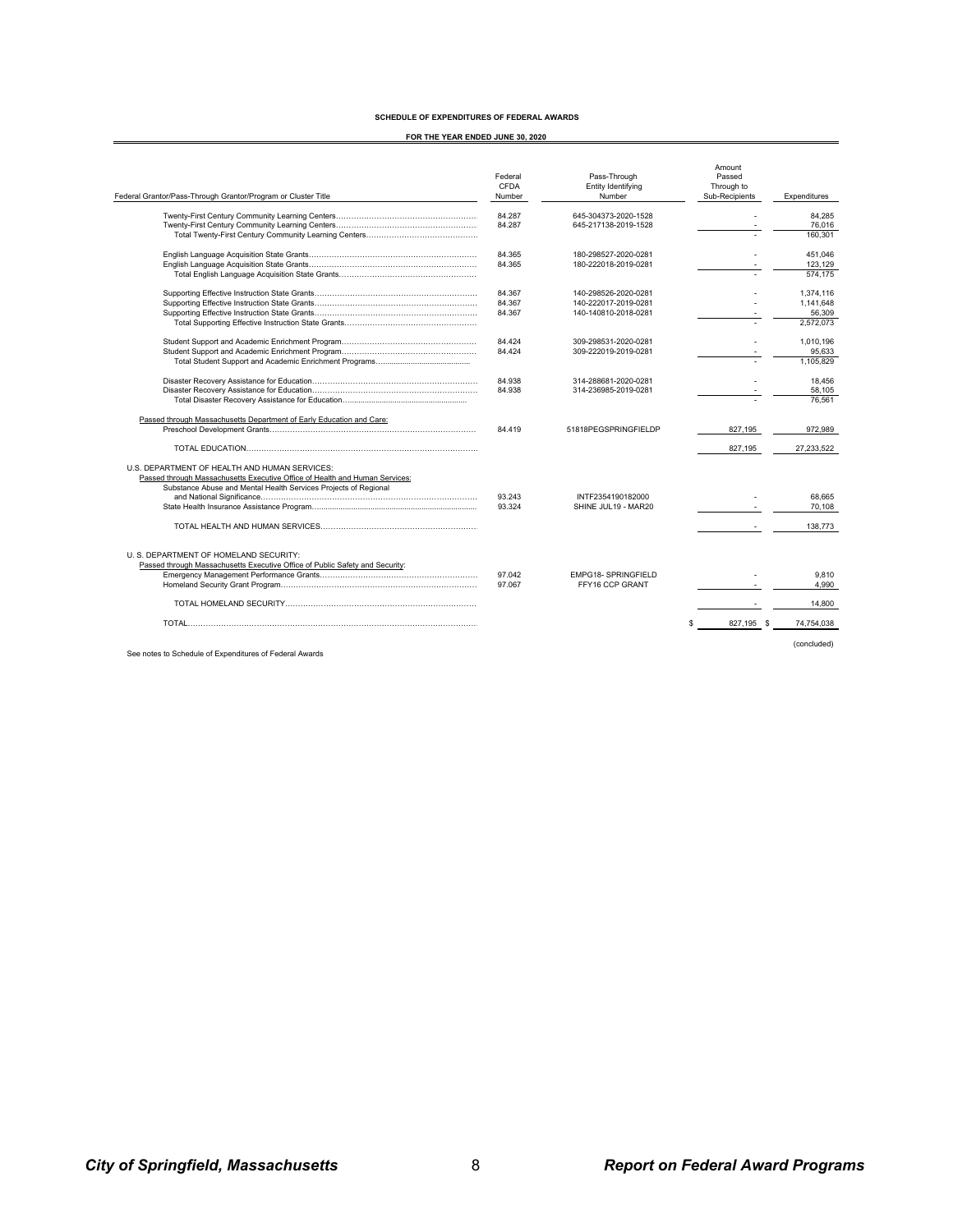#### **SCHEDULE OF EXPENDITURES OF FEDERAL AWARDS**

**FOR THE YEAR ENDED JUNE 30, 2020**

| Federal Grantor/Pass-Through Grantor/Program or Cluster Title                | Federal<br>CFDA<br>Number | Pass-Through<br>Entity Identifying<br>Number | Amount<br>Passed<br>Through to<br>Sub-Recipients | Expenditures |
|------------------------------------------------------------------------------|---------------------------|----------------------------------------------|--------------------------------------------------|--------------|
|                                                                              | 84.287                    | 645-304373-2020-1528                         |                                                  | 84.285       |
|                                                                              | 84.287                    | 645-217138-2019-1528                         |                                                  | 76,016       |
|                                                                              |                           |                                              |                                                  | 160.301      |
|                                                                              | 84.365                    | 180-298527-2020-0281                         |                                                  | 451.046      |
|                                                                              | 84.365                    | 180-222018-2019-0281                         |                                                  | 123,129      |
|                                                                              |                           |                                              |                                                  | 574.175      |
|                                                                              | 84.367                    | 140-298526-2020-0281                         |                                                  | 1.374.116    |
|                                                                              | 84.367                    | 140-222017-2019-0281                         |                                                  | 1.141.648    |
|                                                                              | 84.367                    | 140-140810-2018-0281                         |                                                  | 56,309       |
|                                                                              |                           |                                              |                                                  | 2.572.073    |
|                                                                              | 84.424                    | 309-298531-2020-0281                         |                                                  | 1.010.196    |
|                                                                              | 84.424                    | 309-222019-2019-0281                         |                                                  | 95,633       |
|                                                                              |                           |                                              |                                                  | 1.105.829    |
|                                                                              | 84.938                    | 314-288681-2020-0281                         |                                                  | 18.456       |
|                                                                              | 84.938                    | 314-236985-2019-0281                         |                                                  | 58.105       |
|                                                                              |                           |                                              |                                                  | 76.561       |
| Passed through Massachusetts Department of Early Education and Care:         |                           |                                              |                                                  |              |
|                                                                              | 84.419                    | 51818PEGSPRINGFIFLDP                         | 827,195                                          | 972.989      |
|                                                                              |                           |                                              | 827,195                                          | 27,233,522   |
| U.S. DEPARTMENT OF HEALTH AND HUMAN SERVICES:                                |                           |                                              |                                                  |              |
| Passed through Massachusetts Executive Office of Health and Human Services:  |                           |                                              |                                                  |              |
| Substance Abuse and Mental Health Services Projects of Regional              |                           |                                              |                                                  |              |
|                                                                              | 93.243                    | INTF2354190182000                            |                                                  | 68.665       |
|                                                                              | 93.324                    | SHINE JUL19 - MAR20                          |                                                  | 70,108       |
|                                                                              |                           |                                              |                                                  | 138,773      |
| U. S. DEPARTMENT OF HOMELAND SECURITY:                                       |                           |                                              |                                                  |              |
| Passed through Massachusetts Executive Office of Public Safety and Security: |                           |                                              |                                                  |              |
|                                                                              | 97.042                    | <b>EMPG18- SPRINGFIELD</b>                   |                                                  | 9.810        |
|                                                                              | 97.067                    | FFY16 CCP GRANT                              |                                                  | 4.990        |
|                                                                              |                           |                                              |                                                  |              |
|                                                                              |                           |                                              |                                                  | 14,800       |
|                                                                              |                           |                                              | 827,195 \$                                       | 74,754,038   |
|                                                                              |                           |                                              |                                                  |              |
|                                                                              |                           |                                              |                                                  | (concluded)  |

See notes to Schedule of Expenditures of Federal Awards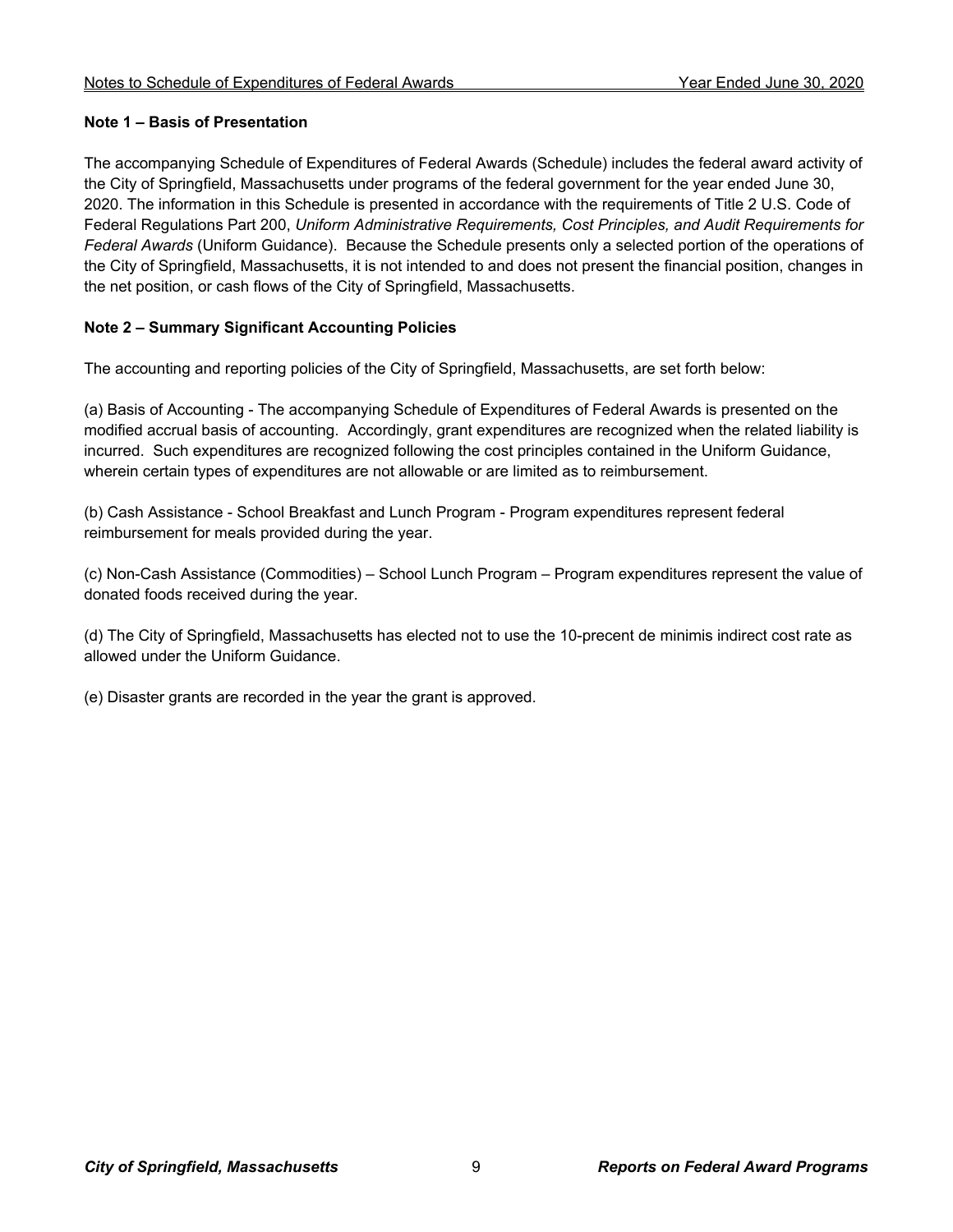#### **Note 1 – Basis of Presentation**

The accompanying Schedule of Expenditures of Federal Awards (Schedule) includes the federal award activity of the City of Springfield, Massachusetts under programs of the federal government for the year ended June 30, 2020. The information in this Schedule is presented in accordance with the requirements of Title 2 U.S. Code of Federal Regulations Part 200, *Uniform Administrative Requirements, Cost Principles, and Audit Requirements for Federal Awards* (Uniform Guidance). Because the Schedule presents only a selected portion of the operations of the City of Springfield, Massachusetts, it is not intended to and does not present the financial position, changes in the net position, or cash flows of the City of Springfield, Massachusetts.

#### **Note 2 – Summary Significant Accounting Policies**

The accounting and reporting policies of the City of Springfield, Massachusetts, are set forth below:

(a) Basis of Accounting - The accompanying Schedule of Expenditures of Federal Awards is presented on the modified accrual basis of accounting. Accordingly, grant expenditures are recognized when the related liability is incurred. Such expenditures are recognized following the cost principles contained in the Uniform Guidance, wherein certain types of expenditures are not allowable or are limited as to reimbursement.

(b) Cash Assistance - School Breakfast and Lunch Program - Program expenditures represent federal reimbursement for meals provided during the year.

(c) Non-Cash Assistance (Commodities) – School Lunch Program – Program expenditures represent the value of donated foods received during the year.

(d) The City of Springfield, Massachusetts has elected not to use the 10-precent de minimis indirect cost rate as allowed under the Uniform Guidance.

(e) Disaster grants are recorded in the year the grant is approved.